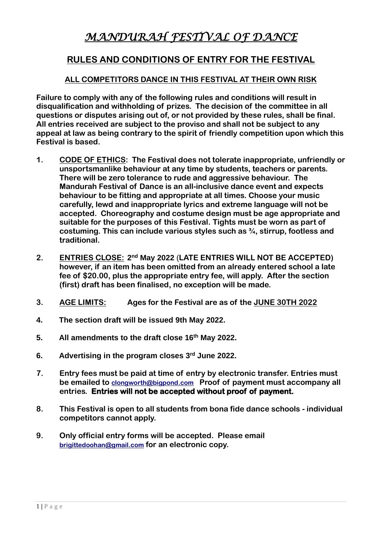# *MANDURAH FESTIVAL OF DANCE*

## **RULES AND CONDITIONS OF ENTRY FOR THE FESTIVAL**

## **ALL COMPETITORS DANCE IN THIS FESTIVAL AT THEIR OWN RISK**

**Failure to comply with any of the following rules and conditions will result in disqualification and withholding of prizes. The decision of the committee in all questions or disputes arising out of, or not provided by these rules, shall be final. All entries received are subject to the proviso and shall not be subject to any appeal at law as being contrary to the spirit of friendly competition upon which this Festival is based.**

- **1. CODE OF ETHICS: The Festival does not tolerate inappropriate, unfriendly or unsportsmanlike behaviour at any time by students, teachers or parents. There will be zero tolerance to rude and aggressive behaviour. The Mandurah Festival of Dance is an all-inclusive dance event and expects behaviour to be fitting and appropriate at all times. Choose your music carefully, lewd and inappropriate lyrics and extreme language will not be accepted. Choreography and costume design must be age appropriate and suitable for the purposes of this Festival. Tights must be worn as part of costuming. This can include various styles such as ¾, stirrup, footless and traditional.**
- 2. **ENTRIES CLOSE:** 2<sup>nd</sup> May 2022 (LATE ENTRIES WILL NOT BE ACCEPTED) **however, if an item has been omitted from an already entered school a late fee of \$20.00, plus the appropriate entry fee, will apply. After the section (first) draft has been finalised, no exception will be made.**
- **3. AGE LIMITS: Ages for the Festival are as of the JUNE 30TH 2022**
- **4. The section draft will be issued 9th May 2022.**
- **5. All amendments to the draft close 16 th May 2022.**
- **6. Advertising in the program closes 3 rd June 2022.**
- **7. Entry fees must be paid at time of entry by electronic transfer. Entries must be emailed to [clongworth@bigpond.com](mailto:clongworth@bigpond.com) Proof of payment must accompany all entries. Entries will not be accepted without proof of payment.**
- **8. This Festival is open to all students from bona fide dance schools - individual competitors cannot apply.**
- **9. Only official entry forms will be accepted. Please email [brigittedoohan@gmail.com](mailto:brigittedoohan@gmail.com) for an electronic copy.**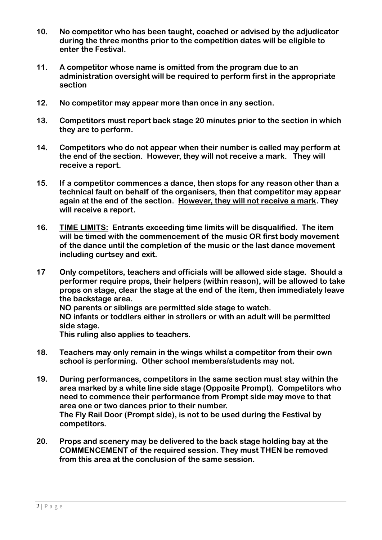- **10. No competitor who has been taught, coached or advised by the adjudicator during the three months prior to the competition dates will be eligible to enter the Festival.**
- **11. A competitor whose name is omitted from the program due to an administration oversight will be required to perform first in the appropriate section**
- **12. No competitor may appear more than once in any section.**
- **13. Competitors must report back stage 20 minutes prior to the section in which they are to perform.**
- **14. Competitors who do not appear when their number is called may perform at the end of the section. However, they will not receive a mark. They will receive a report.**
- **15. If a competitor commences a dance, then stops for any reason other than a technical fault on behalf of the organisers, then that competitor may appear again at the end of the section. However, they will not receive a mark. They will receive a report.**
- **16. TIME LIMITS: Entrants exceeding time limits will be disqualified. The item will be timed with the commencement of the music OR first body movement of the dance until the completion of the music or the last dance movement including curtsey and exit.**
- **17 Only competitors, teachers and officials will be allowed side stage. Should a performer require props, their helpers (within reason), will be allowed to take props on stage, clear the stage at the end of the item, then immediately leave the backstage area.**

**NO parents or siblings are permitted side stage to watch.**

**NO infants or toddlers either in strollers or with an adult will be permitted side stage.**

**This ruling also applies to teachers.**

- **18. Teachers may only remain in the wings whilst a competitor from their own school is performing. Other school members/students may not.**
- **19. During performances, competitors in the same section must stay within the area marked by a white line side stage (Opposite Prompt). Competitors who need to commence their performance from Prompt side may move to that area one or two dances prior to their number. The Fly Rail Door (Prompt side), is not to be used during the Festival by competitors.**
- **20. Props and scenery may be delivered to the back stage holding bay at the COMMENCEMENT of the required session. They must THEN be removed from this area at the conclusion of the same session.**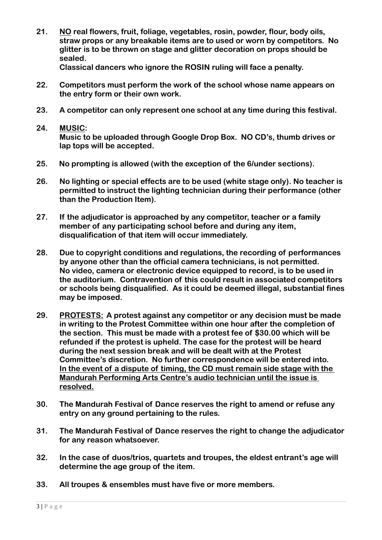**21. NO real flowers, fruit, foliage, vegetables, rosin, powder, flour, body oils, straw props or any breakable items are to used or worn by competitors. No glitter is to be thrown on stage and glitter decoration on props should be sealed.**

**Classical dancers who ignore the ROSIN ruling will face a penalty.**

- **22. Competitors must perform the work of the school whose name appears on the entry form or their own work.**
- **23. A competitor can only represent one school at any time during this festival.**
- **24. MUSIC: Music to be uploaded through Google Drop Box. NO CD's, thumb drives or lap tops will be accepted.**
- **25. No prompting is allowed (with the exception of the 6/under sections).**
- **26. No lighting or special effects are to be used (white stage only). No teacher is permitted to instruct the lighting technician during their performance (other than the Production Item).**
- **27. If the adjudicator is approached by any competitor, teacher or a family member of any participating school before and during any item, disqualification of that item will occur immediately.**
- **28. Due to copyright conditions and regulations, the recording of performances by anyone other than the official camera technicians, is not permitted. No video, camera or electronic device equipped to record, is to be used in the auditorium. Contravention of this could result in associated competitors or schools being disqualified. As it could be deemed illegal, substantial fines may be imposed.**
- **29. PROTESTS: A protest against any competitor or any decision must be made in writing to the Protest Committee within one hour after the completion of the section. This must be made with a protest fee of \$30.00 which will be refunded if the protest is upheld. The case for the protest will be heard during the next session break and will be dealt with at the Protest Committee's discretion. No further correspondence will be entered into. In the event of a dispute of timing, the CD must remain side stage with the Mandurah Performing Arts Centre's audio technician until the issue is resolved.**
- **30. The Mandurah Festival of Dance reserves the right to amend or refuse any entry on any ground pertaining to the rules.**
- **31. The Mandurah Festival of Dance reserves the right to change the adjudicator for any reason whatsoever.**
- **32. In the case of duos/trios, quartets and troupes, the eldest entrant's age will determine the age group of the item.**
- **33. All troupes & ensembles must have five or more members.**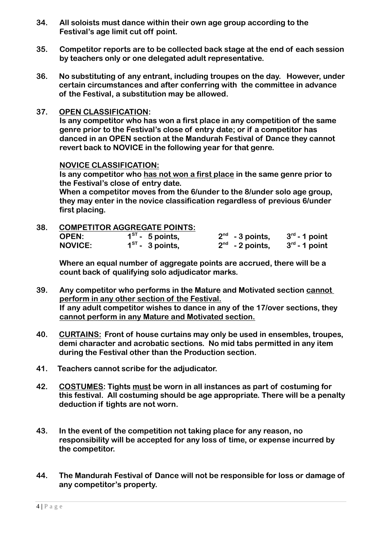- **34. All soloists must dance within their own age group according to the Festival's age limit cut off point.**
- **35. Competitor reports are to be collected back stage at the end of each session by teachers only or one delegated adult representative.**
- **36. No substituting of any entrant, including troupes on the day. However, under certain circumstances and after conferring with the committee in advance of the Festival, a substitution may be allowed.**

#### **37. OPEN CLASSIFICATION:**

**Is any competitor who has won a first place in any competition of the same genre prior to the Festival's close of entry date; or if a competitor has danced in an OPEN section at the Mandurah Festival of Dance they cannot revert back to NOVICE in the following year for that genre.**

#### **NOVICE CLASSIFICATION:**

**Is any competitor who has not won a first place in the same genre prior to the Festival's close of entry date.** 

**When a competitor moves from the 6/under to the 8/under solo age group, they may enter in the novice classification regardless of previous 6/under first placing.**

#### **38. COMPETITOR AGGREGATE POINTS:**

| <b>OPEN:</b>   | $1ST$ - 5 points, | $2nd$ - 3 points,             | $3^{\text{rd}}$ - 1 point |
|----------------|-------------------|-------------------------------|---------------------------|
| <b>NOVICE:</b> | $1ST$ - 3 points, | $2^{\mathsf{nd}}$ - 2 points, | $3^{\text{rd}}$ - 1 point |

**Where an equal number of aggregate points are accrued, there will be a count back of qualifying solo adjudicator marks.**

- **39. Any competitor who performs in the Mature and Motivated section cannot perform in any other section of the Festival. If any adult competitor wishes to dance in any of the 17/over sections, they cannot perform in any Mature and Motivated section.**
- **40. CURTAINS: Front of house curtains may only be used in ensembles, troupes, demi character and acrobatic sections. No mid tabs permitted in any item during the Festival other than the Production section.**
- **41. Teachers cannot scribe for the adjudicator.**
- **42. COSTUMES: Tights must be worn in all instances as part of costuming for this festival. All costuming should be age appropriate. There will be a penalty deduction if tights are not worn.**
- **43. In the event of the competition not taking place for any reason, no responsibility will be accepted for any loss of time, or expense incurred by the competitor.**
- **44. The Mandurah Festival of Dance will not be responsible for loss or damage of any competitor's property.**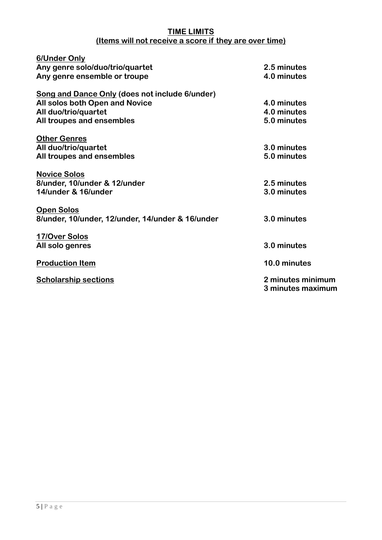#### **TIME LIMITS (Items will not receive a score if they are over time)**

| 6/Under Only                                          |                                        |
|-------------------------------------------------------|----------------------------------------|
| Any genre solo/duo/trio/quartet                       | 2.5 minutes                            |
| Any genre ensemble or troupe                          | 4.0 minutes                            |
| <b>Song and Dance Only (does not include 6/under)</b> |                                        |
| All solos both Open and Novice                        | 4.0 minutes                            |
| All duo/trio/quartet                                  | 4.0 minutes                            |
| All troupes and ensembles                             | 5.0 minutes                            |
| <b>Other Genres</b>                                   |                                        |
| All duo/trio/quartet                                  | 3.0 minutes                            |
| All troupes and ensembles                             | 5.0 minutes                            |
| <b>Novice Solos</b>                                   |                                        |
| 8/under, 10/under & 12/under                          | 2.5 minutes                            |
| 14/under & 16/under                                   | 3.0 minutes                            |
| <b>Open Solos</b>                                     |                                        |
| 8/under, 10/under, 12/under, 14/under & 16/under      | 3.0 minutes                            |
| 17/Over Solos                                         |                                        |
| All solo genres                                       | 3.0 minutes                            |
| <b>Production Item</b>                                | 10.0 minutes                           |
| <b>Scholarship sections</b>                           | 2 minutes minimum<br>3 minutes maximum |
|                                                       |                                        |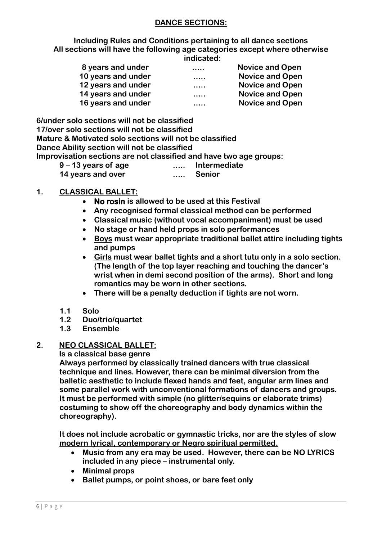## **DANCE SECTIONS:**

**Including Rules and Conditions pertaining to all dance sections All sections will have the following age categories except where otherwise indicated:**

| 8 years and under  | $\cdots$ | <b>Novice and Open</b> |
|--------------------|----------|------------------------|
| 10 years and under |          | <b>Novice and Open</b> |
| 12 years and under |          | <b>Novice and Open</b> |
| 14 years and under |          | <b>Novice and Open</b> |
| 16 years and under | .        | <b>Novice and Open</b> |

**6/under solo sections will not be classified 17/over solo sections will not be classified Mature & Motivated solo sections will not be classified Dance Ability section will not be classified Improvisation sections are not classified and have two age groups: 9 – 13 years of age ….. Intermediate**

**14 years and over ….. Senior**

## **1. CLASSICAL BALLET:**

- **No rosin is allowed to be used at this Festival**
- **Any recognised formal classical method can be performed**
- **Classical music (without vocal accompaniment) must be used**
- **No stage or hand held props in solo performances**
- **Boys must wear appropriate traditional ballet attire including tights and pumps**
- **Girls must wear ballet tights and a short tutu only in a solo section. (The length of the top layer reaching and touching the dancer's wrist when in demi second position of the arms). Short and long romantics may be worn in other sections.**
- **There will be a penalty deduction if tights are not worn.**
- **1.1 Solo**
- **1.2 Duo/trio/quartet**
- **1.3 Ensemble**

## **2. NEO CLASSICAL BALLET:**

 **Is a classical base genre**

**Always performed by classically trained dancers with true classical technique and lines. However, there can be minimal diversion from the balletic aesthetic to include flexed hands and feet, angular arm lines and some parallel work with unconventional formations of dancers and groups. It must be performed with simple (no glitter/sequins or elaborate trims) costuming to show off the choreography and body dynamics within the choreography).**

**It does not include acrobatic or gymnastic tricks, nor are the styles of slow modern lyrical, contemporary or Negro spiritual permitted.**

- **Music from any era may be used. However, there can be NO LYRICS included in any piece – instrumental only.**
- **Minimal props**
- **Ballet pumps, or point shoes, or bare feet only**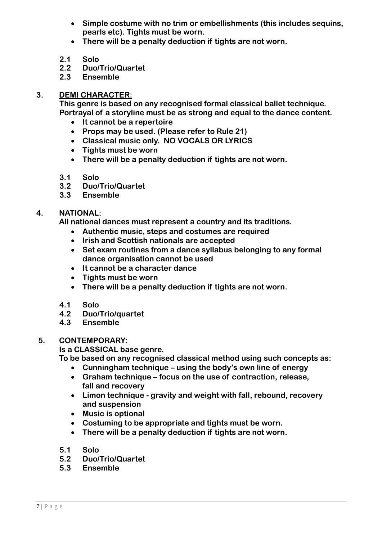- **Simple costume with no trim or embellishments (this includes sequins, pearls etc). Tights must be worn.**
- **There will be a penalty deduction if tights are not worn.**
- **2.1 Solo**
- **2.2 Duo/Trio/Quartet**
- **2.3 Ensemble**

#### **3. DEMI CHARACTER:**

**This genre is based on any recognised formal classical ballet technique. Portrayal of a storyline must be as strong and equal to the dance content.**

- **It cannot be a repertoire**
- **Props may be used. (Please refer to Rule 21)**
- **Classical music only. NO VOCALS OR LYRICS**
- **Tights must be worn**
- **There will be a penalty deduction if tights are not worn.**
- **3.1 Solo**
- **3.2 Duo/Trio/Quartet**
- **3.3 Ensemble**

## **4. NATIONAL:**

**All national dances must represent a country and its traditions.**

- **Authentic music, steps and costumes are required**
- **Irish and Scottish nationals are accepted**
- **Set exam routines from a dance syllabus belonging to any formal dance organisation cannot be used**
- **It cannot be a character dance**
- **Tights must be worn**
- **There will be a penalty deduction if tights are not worn.**
- **4.1 Solo**
- **4.2 Duo/Trio/quartet**
- **4.3 Ensemble**

#### **5. CONTEMPORARY:**

 **Is a CLASSICAL base genre.**

**To be based on any recognised classical method using such concepts as:**

- **Cunningham technique – using the body's own line of energy**
- **Graham technique – focus on the use of contraction, release, fall and recovery**
- **Limon technique - gravity and weight with fall, rebound, recovery and suspension**
- **Music is optional**
- **Costuming to be appropriate and tights must be worn.**
- **There will be a penalty deduction if tights are not worn.**
- **5.1 Solo**
- **5.2 Duo/Trio/Quartet**
- **5.3 Ensemble**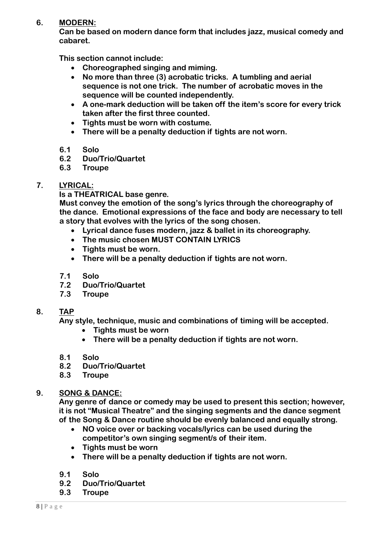## **6. MODERN:**

**Can be based on modern dance form that includes jazz, musical comedy and cabaret.**

**This section cannot include:**

- **Choreographed singing and miming.**
- **No more than three (3) acrobatic tricks. A tumbling and aerial sequence is not one trick. The number of acrobatic moves in the sequence will be counted independently.**
- **A one-mark deduction will be taken off the item's score for every trick taken after the first three counted.**
- **Tights must be worn with costume.**
- **There will be a penalty deduction if tights are not worn.**
- **6.1 Solo**
- **6.2 Duo/Trio/Quartet**
- **6.3 Troupe**

## **7. LYRICAL:**

 **Is a THEATRICAL base genre.**

**Must convey the emotion of the song's lyrics through the choreography of the dance. Emotional expressions of the face and body are necessary to tell a story that evolves with the lyrics of the song chosen.** 

- **Lyrical dance fuses modern, jazz & ballet in its choreography.**
- **The music chosen MUST CONTAIN LYRICS**
- **Tights must be worn.**
- **There will be a penalty deduction if tights are not worn.**
- **7.1 Solo**
- **7.2 Duo/Trio/Quartet**
- **7.3 Troupe**

## **8. TAP**

**Any style, technique, music and combinations of timing will be accepted.**

- **Tights must be worn**
- **There will be a penalty deduction if tights are not worn.**
- **8.1 Solo**
- **8.2 Duo/Trio/Quartet**
- **8.3 Troupe**

## **9. SONG & DANCE:**

**Any genre of dance or comedy may be used to present this section; however, it is not "Musical Theatre" and the singing segments and the dance segment of the Song & Dance routine should be evenly balanced and equally strong.**

- **NO voice over or backing vocals/lyrics can be used during the competitor's own singing segment/s of their item.**
- **Tights must be worn**
- **There will be a penalty deduction if tights are not worn.**
- **9.1 Solo**
- **9.2 Duo/Trio/Quartet**
- **9.3 Troupe**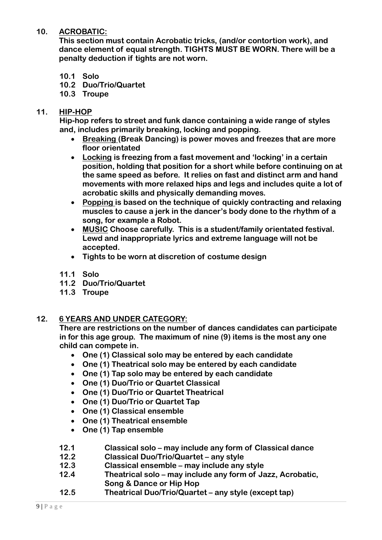## **10. ACROBATIC:**

**This section must contain Acrobatic tricks, (and/or contortion work), and dance element of equal strength. TIGHTS MUST BE WORN. There will be a penalty deduction if tights are not worn.**

- **10.1 Solo**
- **10.2 Duo/Trio/Quartet**
- **10.3 Troupe**

## **11. HIP-HOP**

**Hip-hop refers to street and funk dance containing a wide range of styles and, includes primarily breaking, locking and popping.**

- **Breaking (Break Dancing) is power moves and freezes that are more floor orientated**
- **Locking is freezing from a fast movement and 'locking' in a certain position, holding that position for a short while before continuing on at the same speed as before. It relies on fast and distinct arm and hand movements with more relaxed hips and legs and includes quite a lot of acrobatic skills and physically demanding moves.**
- **Popping is based on the technique of quickly contracting and relaxing muscles to cause a jerk in the dancer's body done to the rhythm of a song, for example a Robot.**
- **MUSIC Choose carefully. This is a student/family orientated festival. Lewd and inappropriate lyrics and extreme language will not be accepted.**
- **Tights to be worn at discretion of costume design**
- **11.1 Solo**
- **11.2 Duo/Trio/Quartet**
- **11.3 Troupe**

## **12. 6 YEARS AND UNDER CATEGORY:**

**There are restrictions on the number of dances candidates can participate in for this age group. The maximum of nine (9) items is the most any one child can compete in.**

- **One (1) Classical solo may be entered by each candidate**
- **One (1) Theatrical solo may be entered by each candidate**
- **One (1) Tap solo may be entered by each candidate**
- **One (1) Duo/Trio or Quartet Classical**
- **One (1) Duo/Trio or Quartet Theatrical**
- **One (1) Duo/Trio or Quartet Tap**
- **One (1) Classical ensemble**
- **One (1) Theatrical ensemble**
- **One (1) Tap ensemble**
- **12.1 Classical solo – may include any form of Classical dance**
- **12.2 Classical Duo/Trio/Quartet – any style**
- **12.3 Classical ensemble – may include any style**
- **12.4 Theatrical solo – may include any form of Jazz, Acrobatic, Song & Dance or Hip Hop**
- **12.5 Theatrical Duo/Trio/Quartet – any style (except tap)**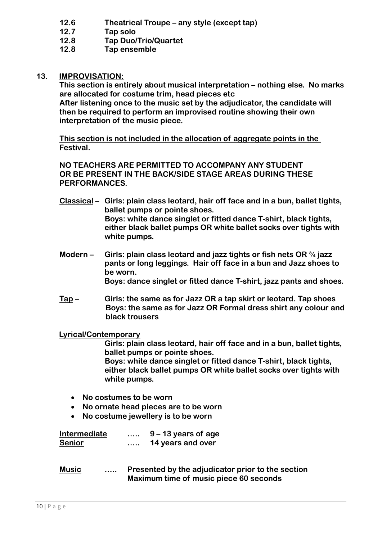- **12.6 Theatrical Troupe – any style (except tap)**
- **12.7 Tap solo**
- **12.8 Tap Duo/Trio/Quartet**
- **12.8 Tap ensemble**

## **13. IMPROVISATION:**

**This section is entirely about musical interpretation – nothing else. No marks are allocated for costume trim, head pieces etc**

**After listening once to the music set by the adjudicator, the candidate will then be required to perform an improvised routine showing their own interpretation of the music piece.**

**This section is not included in the allocation of aggregate points in the Festival.**

**NO TEACHERS ARE PERMITTED TO ACCOMPANY ANY STUDENT OR BE PRESENT IN THE BACK/SIDE STAGE AREAS DURING THESE PERFORMANCES.**

- **Classical – Girls: plain class leotard, hair off face and in a bun, ballet tights, ballet pumps or pointe shoes. Boys: white dance singlet or fitted dance T-shirt, black tights, either black ballet pumps OR white ballet socks over tights with white pumps.**
- **Modern – Girls: plain class leotard and jazz tights or fish nets OR ¾ jazz pants or long leggings. Hair off face in a bun and Jazz shoes to be worn. Boys: dance singlet or fitted dance T-shirt, jazz pants and shoes.**
- **Tap – Girls: the same as for Jazz OR a tap skirt or leotard. Tap shoes Boys: the same as for Jazz OR Formal dress shirt any colour and black trousers**

## **Lyrical/Contemporary**

**Girls: plain class leotard, hair off face and in a bun, ballet tights, ballet pumps or pointe shoes. Boys: white dance singlet or fitted dance T-shirt, black tights, either black ballet pumps OR white ballet socks over tights with white pumps.**

- **No costumes to be worn**
- **No ornate head pieces are to be worn**
- **No costume jewellery is to be worn**

| <b>Intermediate</b> | <br>$9 - 13$ years of age |
|---------------------|---------------------------|
| <b>Senior</b>       | <br>14 years and over     |

**Music ….. Presented by the adjudicator prior to the section Maximum time of music piece 60 seconds**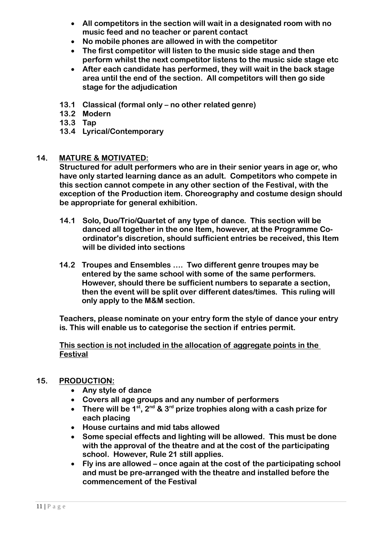- **All competitors in the section will wait in a designated room with no music feed and no teacher or parent contact**
- **No mobile phones are allowed in with the competitor**
- **The first competitor will listen to the music side stage and then perform whilst the next competitor listens to the music side stage etc**
- **After each candidate has performed, they will wait in the back stage area until the end of the section. All competitors will then go side stage for the adjudication**
- **13.1 Classical (formal only – no other related genre)**
- **13.2 Modern**
- **13.3 Tap**
- **13.4 Lyrical/Contemporary**

#### **14. MATURE & MOTIVATED:**

**Structured for adult performers who are in their senior years in age or, who have only started learning dance as an adult. Competitors who compete in this section cannot compete in any other section of the Festival, with the exception of the Production item. Choreography and costume design should be appropriate for general exhibition.**

- **14.1 Solo, Duo/Trio/Quartet of any type of dance. This section will be danced all together in the one Item, however, at the Programme Coordinator's discretion, should sufficient entries be received, this Item will be divided into sections**
- **14.2 Troupes and Ensembles …. Two different genre troupes may be entered by the same school with some of the same performers. However, should there be sufficient numbers to separate a section, then the event will be split over different dates/times. This ruling will only apply to the M&M section.**

**Teachers, please nominate on your entry form the style of dance your entry is. This will enable us to categorise the section if entries permit.**

**This section is not included in the allocation of aggregate points in the Festival**

## **15. PRODUCTION:**

- **Any style of dance**
- **Covers all age groups and any number of performers**
- **There will be 1st, 2nd & 3rd prize trophies along with a cash prize for each placing**
- **House curtains and mid tabs allowed**
- **Some special effects and lighting will be allowed. This must be done with the approval of the theatre and at the cost of the participating school. However, Rule 21 still applies.**
- **Fly ins are allowed – once again at the cost of the participating school and must be pre-arranged with the theatre and installed before the commencement of the Festival**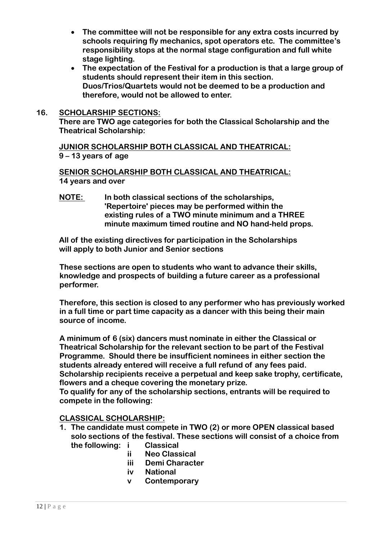- **The committee will not be responsible for any extra costs incurred by schools requiring fly mechanics, spot operators etc. The committee's responsibility stops at the normal stage configuration and full white stage lighting.**
- **The expectation of the Festival for a production is that a large group of students should represent their item in this section. Duos/Trios/Quartets would not be deemed to be a production and therefore, would not be allowed to enter.**

#### **16. SCHOLARSHIP SECTIONS:**

**There are TWO age categories for both the Classical Scholarship and the Theatrical Scholarship:**

**JUNIOR SCHOLARSHIP BOTH CLASSICAL AND THEATRICAL: 9 – 13 years of age**

**SENIOR SCHOLARSHIP BOTH CLASSICAL AND THEATRICAL: 14 years and over**

**NOTE: In both classical sections of the scholarships, 'Repertoire' pieces may be performed within the existing rules of a TWO minute minimum and a THREE minute maximum timed routine and NO hand-held props.**

**All of the existing directives for participation in the Scholarships will apply to both Junior and Senior sections**

**These sections are open to students who want to advance their skills, knowledge and prospects of building a future career as a professional performer.**

**Therefore, this section is closed to any performer who has previously worked in a full time or part time capacity as a dancer with this being their main source of income.**

**A minimum of 6 (six) dancers must nominate in either the Classical or Theatrical Scholarship for the relevant section to be part of the Festival Programme. Should there be insufficient nominees in either section the students already entered will receive a full refund of any fees paid. Scholarship recipients receive a perpetual and keep sake trophy, certificate, flowers and a cheque covering the monetary prize.**

**To qualify for any of the scholarship sections, entrants will be required to compete in the following:**

#### **CLASSICAL SCHOLARSHIP:**

- **1. The candidate must compete in TWO (2) or more OPEN classical based solo sections of the festival. These sections will consist of a choice from the following: i Classical**
	- **ii Neo Classical**
	- **iii Demi Character**
	- **iv National**
	- **v Contemporary**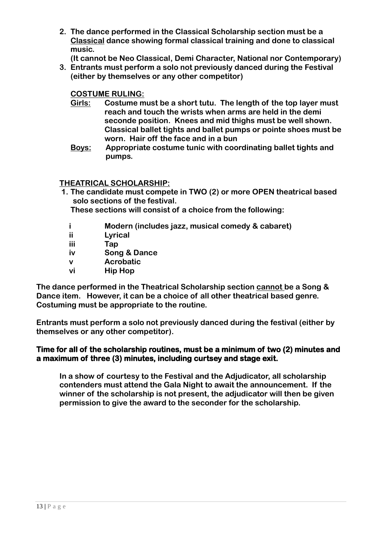- **2. The dance performed in the Classical Scholarship section must be a Classical dance showing formal classical training and done to classical music.**
	- **(It cannot be Neo Classical, Demi Character, National nor Contemporary)**
- **3. Entrants must perform a solo not previously danced during the Festival (either by themselves or any other competitor)**

## **COSTUME RULING:**

- **Girls: Costume must be a short tutu. The length of the top layer must reach and touch the wrists when arms are held in the demi seconde position. Knees and mid thighs must be well shown. Classical ballet tights and ballet pumps or pointe shoes must be worn. Hair off the face and in a bun**
- **Boys: Appropriate costume tunic with coordinating ballet tights and pumps.**

## **THEATRICAL SCHOLARSHIP:**

**1. The candidate must compete in TWO (2) or more OPEN theatrical based solo sections of the festival.**

**These sections will consist of a choice from the following:**

- **i Modern (includes jazz, musical comedy & cabaret)**
- **ii Lyrical**
- **iii Tap**
- **iv Song & Dance**
- **v Acrobatic**
- **vi Hip Hop**

**The dance performed in the Theatrical Scholarship section cannot be a Song & Dance item. However, it can be a choice of all other theatrical based genre. Costuming must be appropriate to the routine.**

**Entrants must perform a solo not previously danced during the festival (either by themselves or any other competitor).**

## **Time for all of the scholarship routines, must be a minimum of two (2) minutes and a maximum of three (3) minutes, including curtsey and stage exit.**

**In a show of courtesy to the Festival and the Adjudicator, all scholarship contenders must attend the Gala Night to await the announcement. If the winner of the scholarship is not present, the adjudicator will then be given permission to give the award to the seconder for the scholarship.**